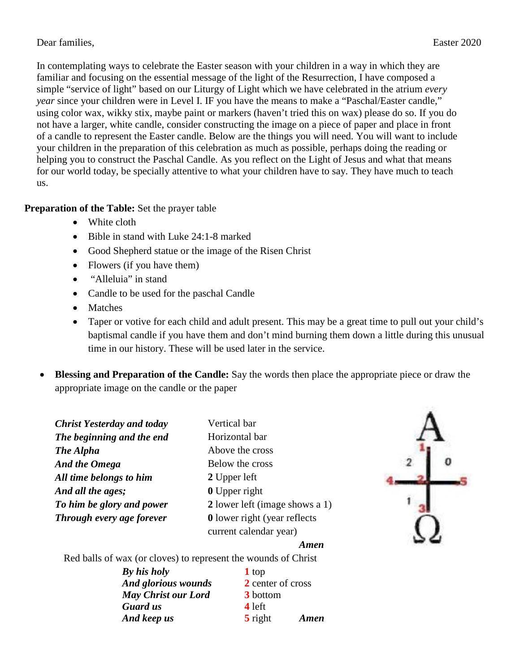In contemplating ways to celebrate the Easter season with your children in a way in which they are familiar and focusing on the essential message of the light of the Resurrection, I have composed a simple "service of light" based on our Liturgy of Light which we have celebrated in the atrium *every year* since your children were in Level I. IF you have the means to make a "Paschal/Easter candle," using color wax, wikky stix, maybe paint or markers (haven't tried this on wax) please do so. If you do not have a larger, white candle, consider constructing the image on a piece of paper and place in front of a candle to represent the Easter candle. Below are the things you will need. You will want to include your children in the preparation of this celebration as much as possible, perhaps doing the reading or helping you to construct the Paschal Candle. As you reflect on the Light of Jesus and what that means for our world today, be specially attentive to what your children have to say. They have much to teach us.

## **Preparation of the Table:** Set the prayer table

- White cloth
- Bible in stand with Luke 24:1-8 marked
- Good Shepherd statue or the image of the Risen Christ
- Flowers (if you have them)
- "Alleluia" in stand
- Candle to be used for the paschal Candle
- Matches
- Taper or votive for each child and adult present. This may be a great time to pull out your child's baptismal candle if you have them and don't mind burning them down a little during this unusual time in our history. These will be used later in the service.
- **Blessing and Preparation of the Candle:** Say the words then place the appropriate piece or draw the appropriate image on the candle or the paper

| <b>Christ Yesterday and today</b> | Vertical bar                        |  |
|-----------------------------------|-------------------------------------|--|
| The beginning and the end         | Horizontal bar                      |  |
| The Alpha                         | Above the cross                     |  |
| <b>And the Omega</b>              | Below the cross                     |  |
| All time belongs to him           | 2 Upper left                        |  |
| And all the ages;                 | <b>0</b> Upper right                |  |
| To him be glory and power         | 2 lower left (image shows a 1)      |  |
| Through every age forever         | <b>0</b> lower right (year reflects |  |
|                                   | current calendar year)              |  |



## *Amen*

Red balls of wax (or cloves) to represent the wounds of Christ

| By his holy                | 1 top                         |      |
|----------------------------|-------------------------------|------|
| <b>And glorious wounds</b> | 2 center of cross             |      |
| <b>May Christ our Lord</b> | 3 bottom                      |      |
| <b>Guard</b> us            | 4 left                        |      |
| And keep us                | $\overline{\mathbf{5}}$ right | Amen |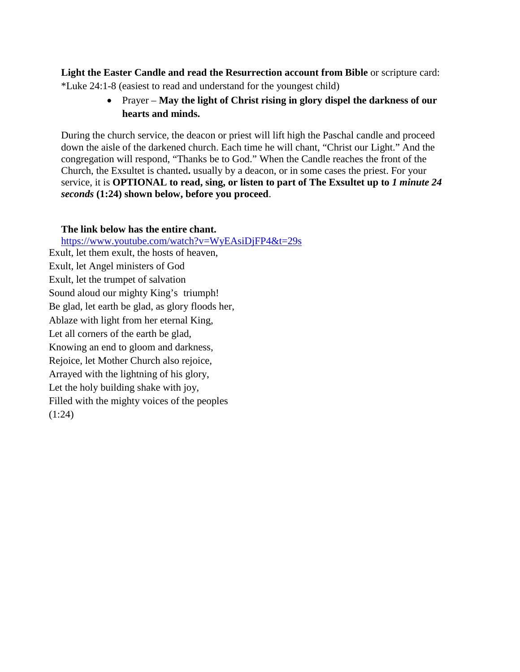**Light the Easter Candle and read the Resurrection account from Bible** or scripture card: \*Luke 24:1-8 (easiest to read and understand for the youngest child)

> • Prayer – **May the light of Christ rising in glory dispel the darkness of our hearts and minds.**

During the church service, the deacon or priest will lift high the Paschal candle and proceed down the aisle of the darkened church. Each time he will chant, "Christ our Light." And the congregation will respond, "Thanks be to God." When the Candle reaches the front of the Church, the Exsultet is chanted**.** usually by a deacon, or in some cases the priest. For your service, it is **OPTIONAL to read, sing, or listen to part of The Exsultet up to** *1 minute 24 seconds* **(1:24) shown below, before you proceed**.

## **The link below has the entire chant.**

<https://www.youtube.com/watch?v=WyEAsiDjFP4&t=29s> Exult, let them exult, the hosts of heaven, Exult, let Angel ministers of God Exult, let the trumpet of salvation Sound aloud our mighty King's triumph! Be glad, let earth be glad, as glory floods her, Ablaze with light from her eternal King, Let all corners of the earth be glad, Knowing an end to gloom and darkness, Rejoice, let Mother Church also rejoice, Arrayed with the lightning of his glory, Let the holy building shake with joy, Filled with the mighty voices of the peoples (1:24)